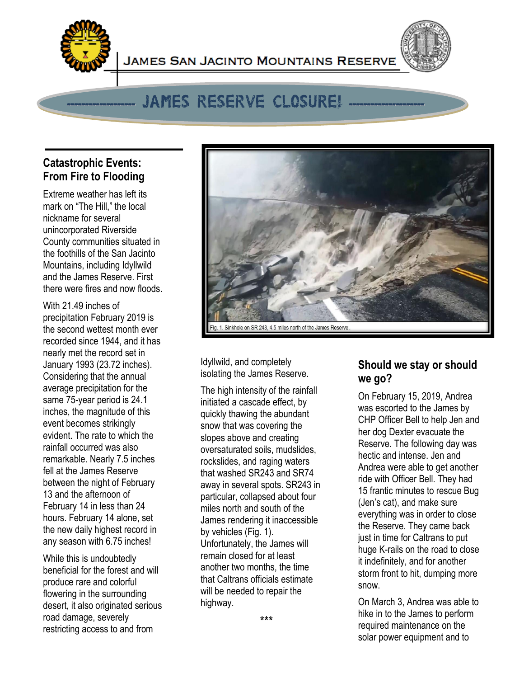

# JAMES RESERVE CLOSURE!

**JAMES SAN JACINTO MOUNTAINS RESERVE** 

## **Catastrophic Events: From Fire to Flooding**

Extreme weather has left its mark on "The Hill," the local nickname for several unincorporated Riverside County communities situated in the foothills of the San Jacinto Mountains, including Idyllwild and the James Reserve. First there were fires and now floods.

With 21.49 inches of precipitation February 2019 is the second wettest month ever recorded since 1944, and it has nearly met the record set in January 1993 (23.72 inches). Considering that the annual average precipitation for the same 75-year period is 24.1 inches, the magnitude of this event becomes strikingly evident. The rate to which the rainfall occurred was also remarkable. Nearly 7.5 inches fell at the James Reserve between the night of February 13 and the afternoon of February 14 in less than 24 hours. February 14 alone, set the new daily highest record in any season with 6.75 inches!

While this is undoubtedly beneficial for the forest and will produce rare and colorful flowering in the surrounding desert, it also originated serious road damage, severely restricting access to and from



Idyllwild, and completely isolating the James Reserve.

The high intensity of the rainfall initiated a cascade effect, by quickly thawing the abundant snow that was covering the slopes above and creating oversaturated soils, mudslides, rockslides, and raging waters that washed SR243 and SR74 away in several spots. SR243 in particular, collapsed about four miles north and south of the James rendering it inaccessible by vehicles (Fig. 1). Unfortunately, the James will remain closed for at least another two months, the time that Caltrans officials estimate will be needed to repair the highway.

#### **Should we stay or should we go?**

On February 15, 2019, Andrea was escorted to the James by CHP Officer Bell to help Jen and her dog Dexter evacuate the Reserve. The following day was hectic and intense. Jen and Andrea were able to get another ride with Officer Bell. They had 15 frantic minutes to rescue Bug (Jen's cat), and make sure everything was in order to close the Reserve. They came back just in time for Caltrans to put huge K-rails on the road to close it indefinitely, and for another storm front to hit, dumping more snow.

On March 3, Andrea was able to hike in to the James to perform required maintenance on the solar power equipment and to